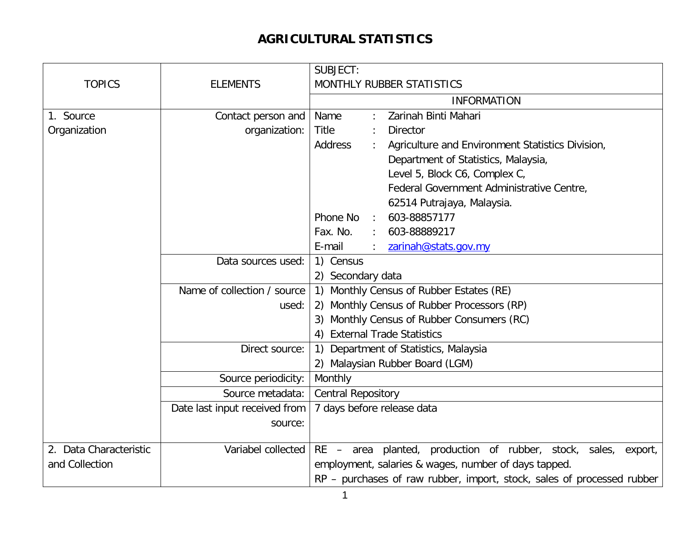## **AGRICULTURAL STATISTICS**

|                        |                               | SUBJECT:                                                                                                                       |  |  |
|------------------------|-------------------------------|--------------------------------------------------------------------------------------------------------------------------------|--|--|
| <b>TOPICS</b>          | <b>ELEMENTS</b>               | <b>MONTHLY RUBBER STATISTICS</b>                                                                                               |  |  |
|                        |                               | <b>INFORMATION</b>                                                                                                             |  |  |
| 1. Source              | Contact person and            | Zarinah Binti Mahari<br>Name                                                                                                   |  |  |
| Organization           | organization:                 | <b>Title</b><br><b>Director</b>                                                                                                |  |  |
|                        |                               | <b>Address</b><br>Agriculture and Environment Statistics Division,                                                             |  |  |
|                        |                               | Department of Statistics, Malaysia,                                                                                            |  |  |
|                        |                               | Level 5, Block C6, Complex C,                                                                                                  |  |  |
|                        |                               | Federal Government Administrative Centre,                                                                                      |  |  |
|                        |                               | 62514 Putrajaya, Malaysia.                                                                                                     |  |  |
|                        |                               | Phone No<br>603-88857177                                                                                                       |  |  |
|                        |                               | Fax. No.<br>603-88889217                                                                                                       |  |  |
|                        |                               | E-mail<br>zarinah@stats.gov.my                                                                                                 |  |  |
|                        | Data sources used:            | 1) Census                                                                                                                      |  |  |
|                        |                               | 2) Secondary data                                                                                                              |  |  |
|                        | Name of collection / source   | Monthly Census of Rubber Estates (RE)<br>$\left( \begin{matrix} 1 \end{matrix} \right)$                                        |  |  |
|                        | used:                         | 2) Monthly Census of Rubber Processors (RP)                                                                                    |  |  |
|                        |                               | 3) Monthly Census of Rubber Consumers (RC)                                                                                     |  |  |
|                        |                               | <b>External Trade Statistics</b>                                                                                               |  |  |
|                        | Direct source:                | Department of Statistics, Malaysia<br>$\left( \begin{matrix} 1 \end{matrix} \right)$                                           |  |  |
|                        |                               | 2) Malaysian Rubber Board (LGM)                                                                                                |  |  |
|                        | Source periodicity:           | Monthly                                                                                                                        |  |  |
|                        | Source metadata:              | <b>Central Repository</b>                                                                                                      |  |  |
|                        | Date last input received from | 7 days before release data                                                                                                     |  |  |
|                        | source:                       |                                                                                                                                |  |  |
| 2. Data Characteristic | Variabel collected            | RE – area planted, production of rubber, stock, sales, export,                                                                 |  |  |
| and Collection         |                               | employment, salaries & wages, number of days tapped.<br>RP - purchases of raw rubber, import, stock, sales of processed rubber |  |  |
|                        |                               |                                                                                                                                |  |  |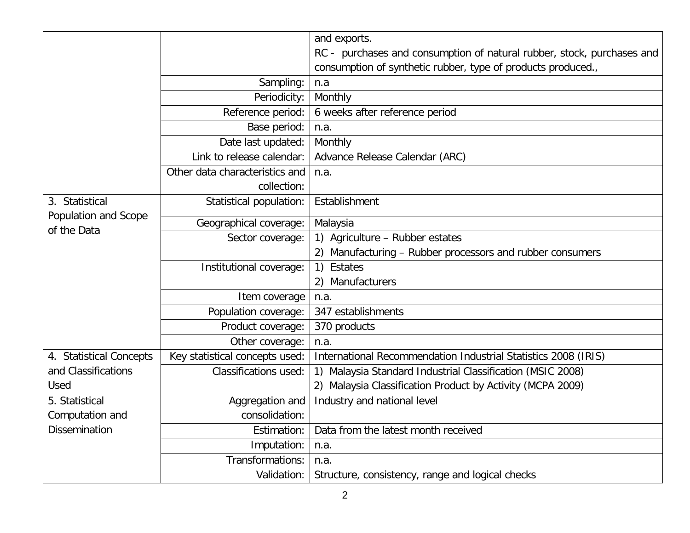|                                                       |                                | and exports.<br>RC - purchases and consumption of natural rubber, stock, purchases and                    |  |  |
|-------------------------------------------------------|--------------------------------|-----------------------------------------------------------------------------------------------------------|--|--|
|                                                       |                                |                                                                                                           |  |  |
|                                                       |                                | consumption of synthetic rubber, type of products produced.,                                              |  |  |
|                                                       | Sampling:                      | n.a                                                                                                       |  |  |
|                                                       | Periodicity:                   | Monthly                                                                                                   |  |  |
|                                                       | Reference period:              | 6 weeks after reference period                                                                            |  |  |
|                                                       | Base period:                   | n.a.                                                                                                      |  |  |
|                                                       | Date last updated:             | Monthly                                                                                                   |  |  |
|                                                       | Link to release calendar:      | Advance Release Calendar (ARC)                                                                            |  |  |
|                                                       | Other data characteristics and | n.a.                                                                                                      |  |  |
|                                                       | collection:                    |                                                                                                           |  |  |
| 3. Statistical<br>Population and Scope<br>of the Data | Statistical population:        | Establishment                                                                                             |  |  |
|                                                       | Geographical coverage:         | Malaysia                                                                                                  |  |  |
|                                                       | Sector coverage:               | 1) Agriculture - Rubber estates                                                                           |  |  |
|                                                       |                                | 2) Manufacturing - Rubber processors and rubber consumers                                                 |  |  |
|                                                       | Institutional coverage:        | Estates<br>1)                                                                                             |  |  |
|                                                       |                                | 2) Manufacturers                                                                                          |  |  |
|                                                       | Item coverage                  | n.a.                                                                                                      |  |  |
|                                                       | Population coverage:           | 347 establishments                                                                                        |  |  |
|                                                       | Product coverage:              | 370 products                                                                                              |  |  |
|                                                       | Other coverage:                | n.a.                                                                                                      |  |  |
| 4. Statistical Concepts                               | Key statistical concepts used: | International Recommendation Industrial Statistics 2008 (IRIS)                                            |  |  |
| and Classifications                                   | <b>Classifications used:</b>   | Malaysia Standard Industrial Classification (MSIC 2008)<br>$\left( \begin{matrix} 1 \end{matrix} \right)$ |  |  |
| Used                                                  |                                | 2) Malaysia Classification Product by Activity (MCPA 2009)                                                |  |  |
| 5. Statistical                                        | Aggregation and                | Industry and national level                                                                               |  |  |
| Computation and                                       | consolidation:                 |                                                                                                           |  |  |
| <b>Dissemination</b>                                  | Estimation:                    | Data from the latest month received                                                                       |  |  |
|                                                       | Imputation:                    | n.a.                                                                                                      |  |  |
|                                                       | Transformations:               | n.a.                                                                                                      |  |  |
|                                                       | Validation:                    | Structure, consistency, range and logical checks                                                          |  |  |